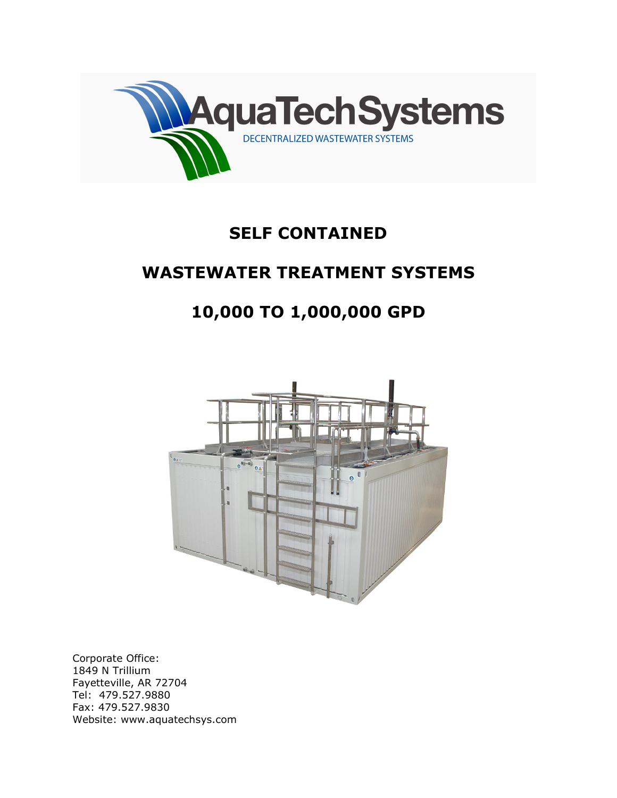

## SELF CONTAINED

## WASTEWATER TREATMENT SYSTEMS

# 10,000 TO 1,000,000 GPD



Corporate Office: 1849 N Trillium Fayetteville, AR 72704 Tel: 479.527.9880 Fax: 479.527.9830 Website: www.aquatechsys.com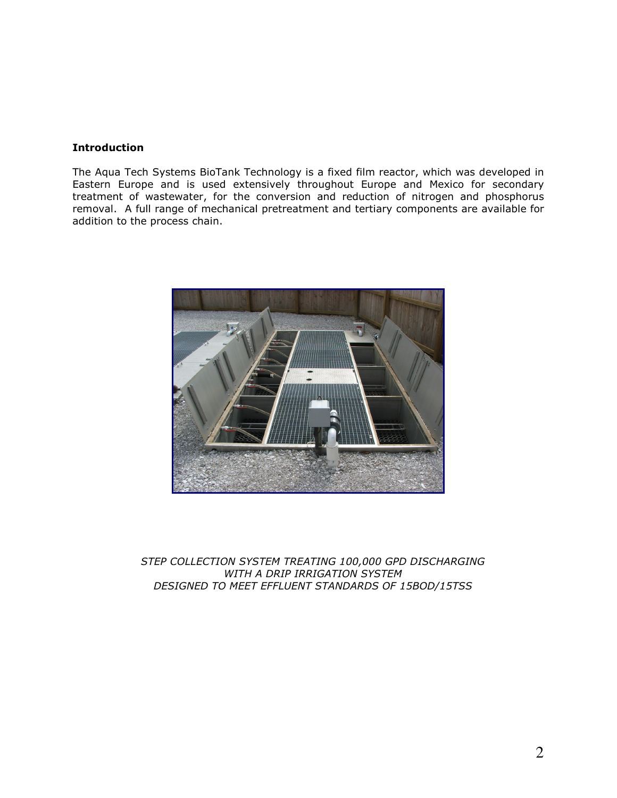## **Introduction**

The Aqua Tech Systems BioTank Technology is a fixed film reactor, which was developed in Eastern Europe and is used extensively throughout Europe and Mexico for secondary treatment of wastewater, for the conversion and reduction of nitrogen and phosphorus removal. A full range of mechanical pretreatment and tertiary components are available for addition to the process chain.



STEP COLLECTION SYSTEM TREATING 100,000 GPD DISCHARGING WITH A DRIP IRRIGATION SYSTEM DESIGNED TO MEET EFFLUENT STANDARDS OF 15BOD/15TSS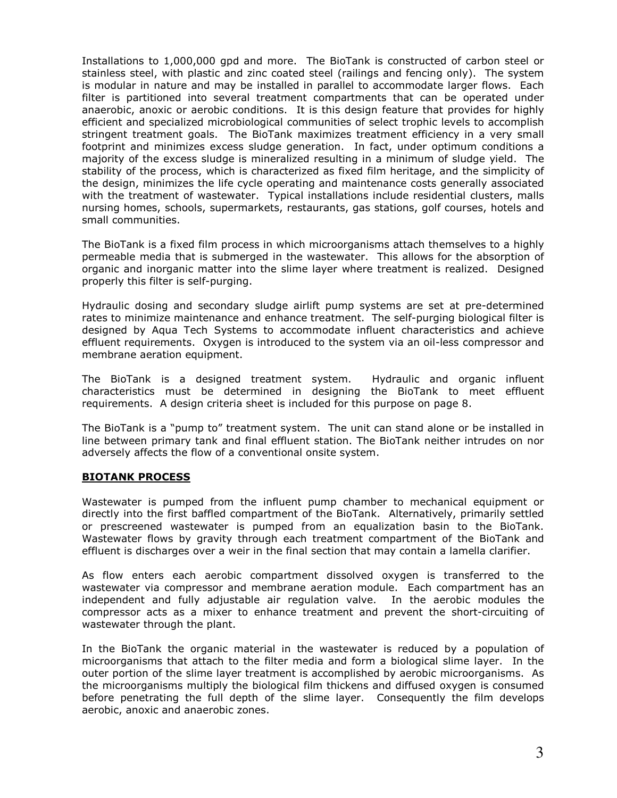Installations to 1,000,000 gpd and more. The BioTank is constructed of carbon steel or stainless steel, with plastic and zinc coated steel (railings and fencing only). The system is modular in nature and may be installed in parallel to accommodate larger flows. Each filter is partitioned into several treatment compartments that can be operated under anaerobic, anoxic or aerobic conditions. It is this design feature that provides for highly efficient and specialized microbiological communities of select trophic levels to accomplish stringent treatment goals. The BioTank maximizes treatment efficiency in a very small footprint and minimizes excess sludge generation. In fact, under optimum conditions a majority of the excess sludge is mineralized resulting in a minimum of sludge yield. The stability of the process, which is characterized as fixed film heritage, and the simplicity of the design, minimizes the life cycle operating and maintenance costs generally associated with the treatment of wastewater. Typical installations include residential clusters, malls nursing homes, schools, supermarkets, restaurants, gas stations, golf courses, hotels and small communities.

The BioTank is a fixed film process in which microorganisms attach themselves to a highly permeable media that is submerged in the wastewater. This allows for the absorption of organic and inorganic matter into the slime layer where treatment is realized. Designed properly this filter is self-purging.

Hydraulic dosing and secondary sludge airlift pump systems are set at pre-determined rates to minimize maintenance and enhance treatment. The self-purging biological filter is designed by Aqua Tech Systems to accommodate influent characteristics and achieve effluent requirements. Oxygen is introduced to the system via an oil-less compressor and membrane aeration equipment.

The BioTank is a designed treatment system. Hydraulic and organic influent characteristics must be determined in designing the BioTank to meet effluent requirements. A design criteria sheet is included for this purpose on page 8.

The BioTank is a "pump to" treatment system. The unit can stand alone or be installed in line between primary tank and final effluent station. The BioTank neither intrudes on nor adversely affects the flow of a conventional onsite system.

#### BIOTANK PROCESS

Wastewater is pumped from the influent pump chamber to mechanical equipment or directly into the first baffled compartment of the BioTank. Alternatively, primarily settled or prescreened wastewater is pumped from an equalization basin to the BioTank. Wastewater flows by gravity through each treatment compartment of the BioTank and effluent is discharges over a weir in the final section that may contain a lamella clarifier.

As flow enters each aerobic compartment dissolved oxygen is transferred to the wastewater via compressor and membrane aeration module. Each compartment has an independent and fully adjustable air regulation valve. In the aerobic modules the compressor acts as a mixer to enhance treatment and prevent the short-circuiting of wastewater through the plant.

In the BioTank the organic material in the wastewater is reduced by a population of microorganisms that attach to the filter media and form a biological slime layer. In the outer portion of the slime layer treatment is accomplished by aerobic microorganisms. As the microorganisms multiply the biological film thickens and diffused oxygen is consumed before penetrating the full depth of the slime layer. Consequently the film develops aerobic, anoxic and anaerobic zones.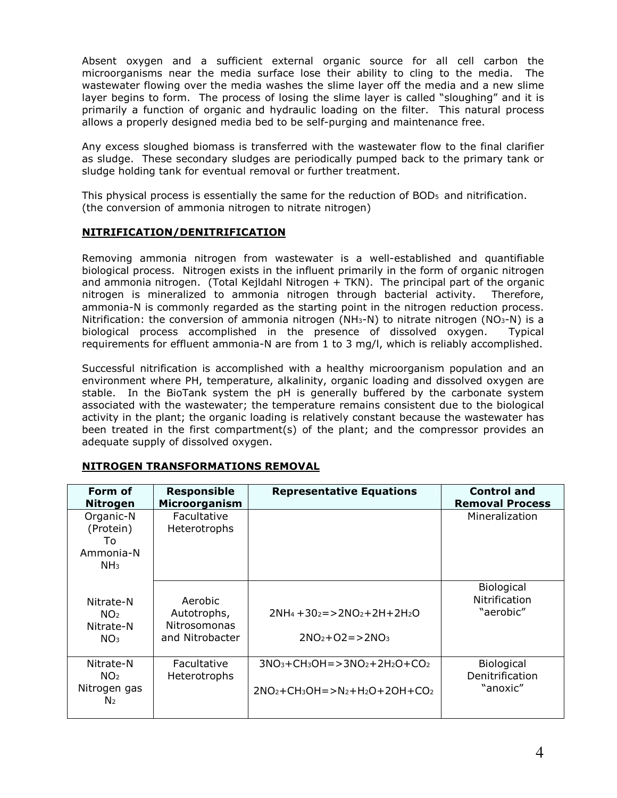Absent oxygen and a sufficient external organic source for all cell carbon the microorganisms near the media surface lose their ability to cling to the media. The wastewater flowing over the media washes the slime layer off the media and a new slime layer begins to form. The process of losing the slime layer is called "sloughing" and it is primarily a function of organic and hydraulic loading on the filter. This natural process allows a properly designed media bed to be self-purging and maintenance free.

Any excess sloughed biomass is transferred with the wastewater flow to the final clarifier as sludge. These secondary sludges are periodically pumped back to the primary tank or sludge holding tank for eventual removal or further treatment.

This physical process is essentially the same for the reduction of BOD5 and nitrification. (the conversion of ammonia nitrogen to nitrate nitrogen)

## NITRIFICATION/DENITRIFICATION

Removing ammonia nitrogen from wastewater is a well-established and quantifiable biological process. Nitrogen exists in the influent primarily in the form of organic nitrogen and ammonia nitrogen. (Total Kejldahl Nitrogen + TKN). The principal part of the organic nitrogen is mineralized to ammonia nitrogen through bacterial activity. Therefore, ammonia-N is commonly regarded as the starting point in the nitrogen reduction process. Nitrification: the conversion of ammonia nitrogen (NH<sub>3</sub>-N) to nitrate nitrogen (NO<sub>3</sub>-N) is a biological process accomplished in the presence of dissolved oxygen. Typical requirements for effluent ammonia-N are from 1 to 3 mg/l, which is reliably accomplished.

Successful nitrification is accomplished with a healthy microorganism population and an environment where PH, temperature, alkalinity, organic loading and dissolved oxygen are stable. In the BioTank system the pH is generally buffered by the carbonate system associated with the wastewater; the temperature remains consistent due to the biological activity in the plant; the organic loading is relatively constant because the wastewater has been treated in the first compartment(s) of the plant; and the compressor provides an adequate supply of dissolved oxygen.

| Form of<br><b>Nitrogen</b>                                     | <b>Responsible</b><br>Microorganism                       | <b>Representative Equations</b>                                     | <b>Control and</b><br><b>Removal Process</b>    |
|----------------------------------------------------------------|-----------------------------------------------------------|---------------------------------------------------------------------|-------------------------------------------------|
| Organic-N<br>(Protein)<br>To.<br>Ammonia-N<br>NH <sub>3</sub>  | Facultative<br>Heterotrophs                               |                                                                     | Mineralization                                  |
| Nitrate-N<br>NO <sub>2</sub><br>Nitrate-N<br>NO <sub>3</sub>   | Aerobic<br>Autotrophs,<br>Nitrosomonas<br>and Nitrobacter | $2NH_4 + 30_2 = > 2NO_2 + 2H + 2H_2O$<br>$2NO_2 + O2 = > 2NO_3$     | <b>Biological</b><br>Nitrification<br>"aerobic" |
| Nitrate-N<br>NO <sub>2</sub><br>Nitrogen gas<br>N <sub>2</sub> | Facultative<br>Heterotrophs                               | $3NO3+CH3OH = > 3NO2+2H2O + CO2$<br>$2NO2+CH3OH = > N2+H2O+2OH+CO2$ | Biological<br>Denitrification<br>"anoxic"       |

## NITROGEN TRANSFORMATIONS REMOVAL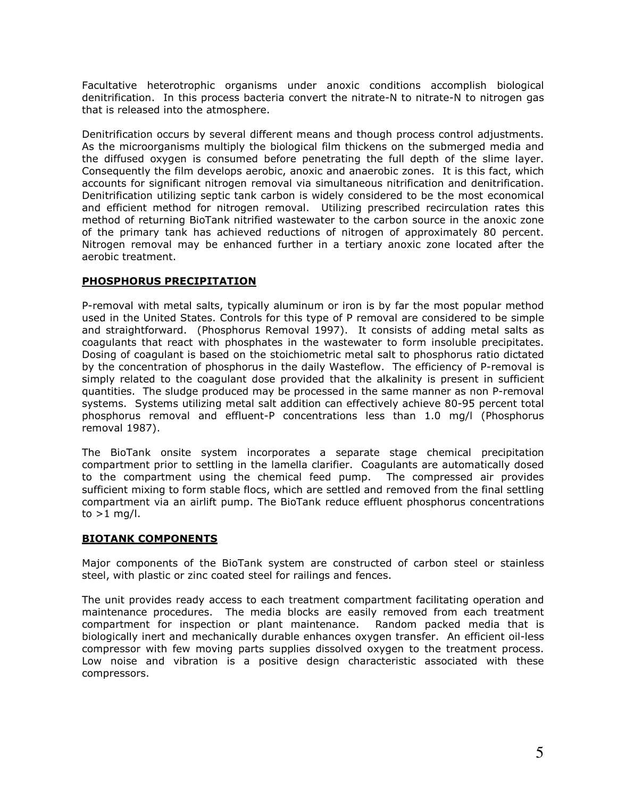Facultative heterotrophic organisms under anoxic conditions accomplish biological denitrification. In this process bacteria convert the nitrate-N to nitrate-N to nitrogen gas that is released into the atmosphere.

Denitrification occurs by several different means and though process control adjustments. As the microorganisms multiply the biological film thickens on the submerged media and the diffused oxygen is consumed before penetrating the full depth of the slime layer. Consequently the film develops aerobic, anoxic and anaerobic zones. It is this fact, which accounts for significant nitrogen removal via simultaneous nitrification and denitrification. Denitrification utilizing septic tank carbon is widely considered to be the most economical and efficient method for nitrogen removal. Utilizing prescribed recirculation rates this method of returning BioTank nitrified wastewater to the carbon source in the anoxic zone of the primary tank has achieved reductions of nitrogen of approximately 80 percent. Nitrogen removal may be enhanced further in a tertiary anoxic zone located after the aerobic treatment.

## PHOSPHORUS PRECIPITATION

P-removal with metal salts, typically aluminum or iron is by far the most popular method used in the United States. Controls for this type of P removal are considered to be simple and straightforward. (Phosphorus Removal 1997). It consists of adding metal salts as coagulants that react with phosphates in the wastewater to form insoluble precipitates. Dosing of coagulant is based on the stoichiometric metal salt to phosphorus ratio dictated by the concentration of phosphorus in the daily Wasteflow. The efficiency of P-removal is simply related to the coagulant dose provided that the alkalinity is present in sufficient quantities. The sludge produced may be processed in the same manner as non P-removal systems. Systems utilizing metal salt addition can effectively achieve 80-95 percent total phosphorus removal and effluent-P concentrations less than 1.0 mg/l (Phosphorus removal 1987).

The BioTank onsite system incorporates a separate stage chemical precipitation compartment prior to settling in the lamella clarifier. Coagulants are automatically dosed to the compartment using the chemical feed pump. The compressed air provides sufficient mixing to form stable flocs, which are settled and removed from the final settling compartment via an airlift pump. The BioTank reduce effluent phosphorus concentrations to  $>1$  mg/l.

#### BIOTANK COMPONENTS

Major components of the BioTank system are constructed of carbon steel or stainless steel, with plastic or zinc coated steel for railings and fences.

The unit provides ready access to each treatment compartment facilitating operation and maintenance procedures. The media blocks are easily removed from each treatment compartment for inspection or plant maintenance. Random packed media that is biologically inert and mechanically durable enhances oxygen transfer. An efficient oil-less compressor with few moving parts supplies dissolved oxygen to the treatment process. Low noise and vibration is a positive design characteristic associated with these compressors.